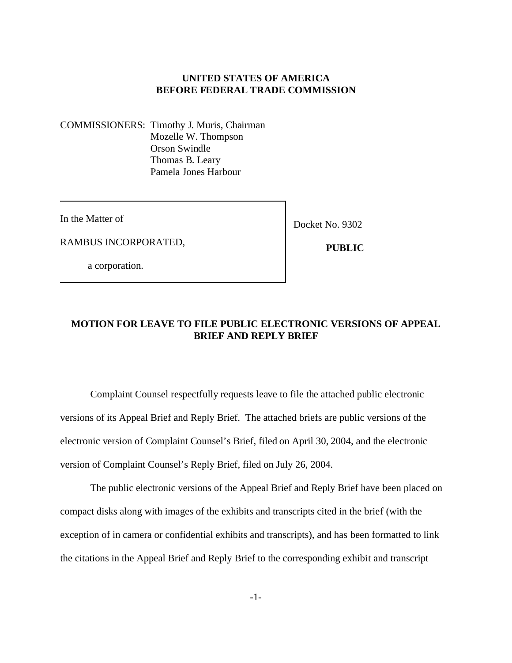## **UNITED STATES OF AMERICA BEFORE FEDERAL TRADE COMMISSION**

COMMISSIONERS: Timothy J. Muris, Chairman Mozelle W. Thompson Orson Swindle Thomas B. Leary Pamela Jones Harbour

In the Matter of

Docket No. 9302

RAMBUS INCORPORATED,

a corporation.

 **PUBLIC**

## **MOTION FOR LEAVE TO FILE PUBLIC ELECTRONIC VERSIONS OF APPEAL BRIEF AND REPLY BRIEF**

Complaint Counsel respectfully requests leave to file the attached public electronic versions of its Appeal Brief and Reply Brief. The attached briefs are public versions of the electronic version of Complaint Counsel's Brief, filed on April 30, 2004, and the electronic version of Complaint Counsel's Reply Brief, filed on July 26, 2004.

The public electronic versions of the Appeal Brief and Reply Brief have been placed on compact disks along with images of the exhibits and transcripts cited in the brief (with the exception of in camera or confidential exhibits and transcripts), and has been formatted to link the citations in the Appeal Brief and Reply Brief to the corresponding exhibit and transcript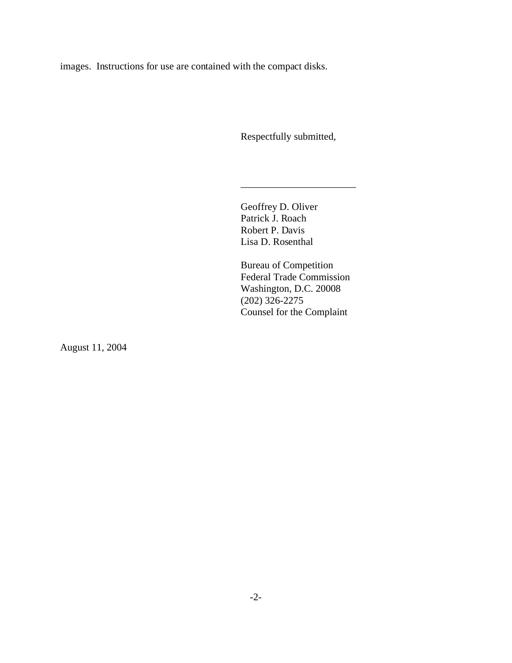images. Instructions for use are contained with the compact disks.

Respectfully submitted,

\_\_\_\_\_\_\_\_\_\_\_\_\_\_\_\_\_\_\_\_\_\_\_

Geoffrey D. Oliver Patrick J. Roach Robert P. Davis Lisa D. Rosenthal

Bureau of Competition Federal Trade Commission Washington, D.C. 20008 (202) 326-2275 Counsel for the Complaint

August 11, 2004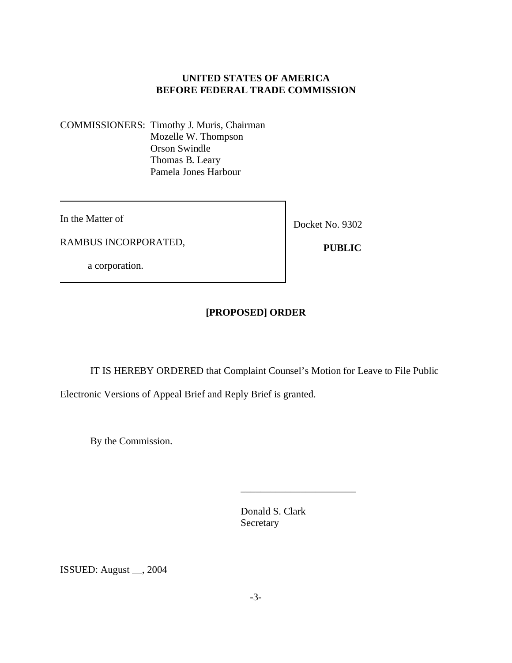## **UNITED STATES OF AMERICA BEFORE FEDERAL TRADE COMMISSION**

COMMISSIONERS: Timothy J. Muris, Chairman Mozelle W. Thompson Orson Swindle Thomas B. Leary Pamela Jones Harbour

In the Matter of

RAMBUS INCORPORATED,

Docket No. 9302

a corporation.

 **PUBLIC** 

# **[PROPOSED] ORDER**

IT IS HEREBY ORDERED that Complaint Counsel's Motion for Leave to File Public

Electronic Versions of Appeal Brief and Reply Brief is granted.

By the Commission.

Donald S. Clark Secretary

\_\_\_\_\_\_\_\_\_\_\_\_\_\_\_\_\_\_\_\_\_\_\_

ISSUED: August \_\_, 2004